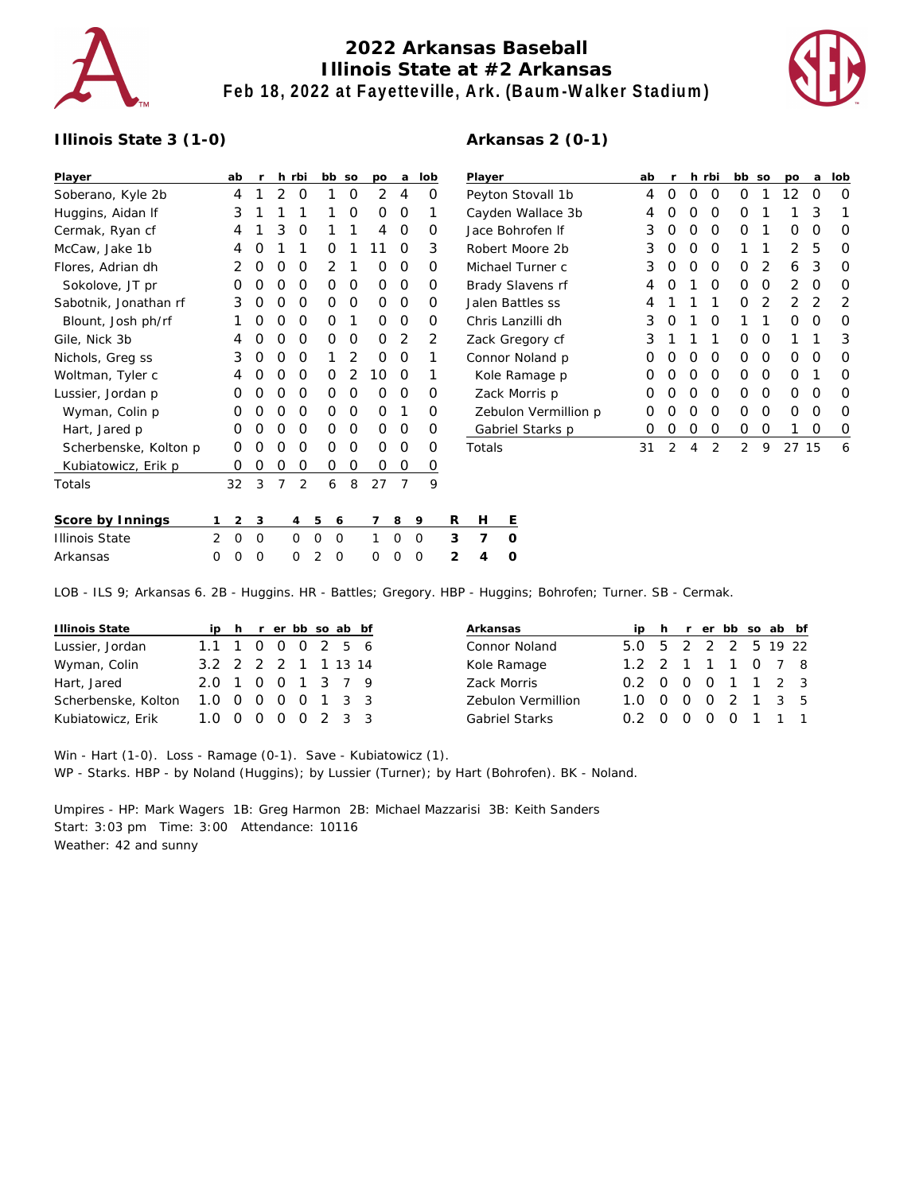

## **2022 Arkansas Baseball Illinois State at #2 Arkansas Feb 18, 2022 at Fayetteville, Ark. (Baum-Walker Stadium)**



## **Illinois State 3 (1-0)**

| Player                |   | ab | r |                | h rbi          |   | bb             | SO             | po | a | lob |   | Player          |   |
|-----------------------|---|----|---|----------------|----------------|---|----------------|----------------|----|---|-----|---|-----------------|---|
| Soberano, Kyle 2b     |   | 4  | 1 | 2              | O              |   | 1              | O              | 2  | 4 | O   |   | Peyton S        |   |
| Huggins, Aidan If     |   | 3  | 1 | 1              | 1              |   | 1              | O              | O  | O | 1   |   | Cayden          |   |
| Cermak, Ryan cf       |   | 4  | 1 | 3              | O              |   | 1              | 1              | 4  | O | Ο   |   | Jace Bor        |   |
| McCaw, Jake 1b        |   | 4  | Ω | 1              | 1              |   | O              | 1              | 11 | O | 3   |   | Robert N        |   |
| Flores, Adrian dh     |   | 2  | Ω | $\Omega$       | O              |   | $\overline{2}$ | 1              | O  | O | O   |   | Michael         |   |
| Sokolove, JT pr       |   | O  | Ω | O              | 0              |   | Ο              | O              | O  | O | O   |   | <b>Brady SI</b> |   |
| Sabotnik, Jonathan rf |   | 3  | Ω | O              | 0              |   | O              | O              | O  | O | Ο   |   | Jalen Ba        |   |
| Blount, Josh ph/rf    |   | 1  | Ω | 0              | Ο              |   | O              | 1              | O  | O | Ο   |   | Chris La        |   |
| Gile, Nick 3b         |   | 4  | Ω | 0              | 0              |   | O              | O              | O  | 2 | 2   |   | Zack Gre        |   |
| Nichols, Greg ss      |   | 3  | Ω | 0              | Ο              |   | 1              | $\overline{2}$ | O  | O | 1   |   | Connor I        |   |
| Woltman, Tyler c      |   | 4  | Ω | O              | Ο              |   | O              | $\overline{2}$ | 10 | O | 1   |   | Kole Ra         |   |
| Lussier, Jordan p     |   | O  | Ω | 0              | O              |   | O              | O              | O  | O | O   |   | Zack M          |   |
| Wyman, Colin p        |   | O  | ∩ | 0              | Ο              |   | O              | O              | O  | 1 | ∩   |   | Zebulo          |   |
| Hart, Jared p         |   | O  | ∩ | O              | 0              |   | O              | O              | O  | O | O   |   | Gabriel         |   |
| Scherbenske, Kolton p |   | Ω  | ∩ | O              | 0              |   | Ω              | $\Omega$       | O  | O | O   |   | Totals          |   |
| Kubiatowicz, Erik p   |   | Ω  | Ω | O              | O              |   | O              | O              | Ο  | Ο | Ο   |   |                 |   |
| Totals                |   | 32 | 3 | $\overline{7}$ | $\overline{2}$ |   | 6              | 8              | 27 | 7 | 9   |   |                 |   |
| Score by Innings      | 1 | 2  | 3 |                | 4              | 5 | 6              |                | 7  | 8 | 9   | R | Н               | Ε |

Illinois State 2 0 0 0 0 0 1 0 0 **3 7 0** Arkansas 0 0 0 0 2 0 0 0 0 **2 4 0**

| Player               | ab | r              |   | h rbi          | bb            | SO            | po            | a             | lob              |
|----------------------|----|----------------|---|----------------|---------------|---------------|---------------|---------------|------------------|
| Peyton Stovall 1b    | 4  | Ω              | O | O              | Ω             | 1             | 12            | O             | Ω                |
| Cayden Wallace 3b    | 4  | Ω              | O | 0              | Ω             | 1             | 1             | 3             |                  |
| Jace Bohrofen If     | 3  | O              | O | O              | Ο             | 1             | Ο             | O             | $\left( \right)$ |
| Robert Moore 2b      | 3  | O              | O | O              | 1             | 1             | $\mathcal{P}$ | 5             | Ω                |
| Michael Turner c     | 3  | O              | O | 0              | Ω             | 2             | 6             | 3             | Ω                |
| Brady Slavens rf     | 4  | O              | 1 | Ω              | Ο             | Ω             | 2             | O             | Ω                |
| Jalen Battles ss     | 4  | 1              | 1 | 1              | O             | $\mathcal{P}$ | $\mathcal{P}$ | $\mathcal{P}$ | 2                |
| Chris Lanzilli dh    | 3  | O              | 1 | Ω              | 1             | 1             | Ω             | Ω             | O                |
| Zack Gregory cf      | 3  | 1              | 1 | 1              | Ω             | Ω             | 1             | 1             | 3                |
| Connor Noland p      | Ω  | Ω              | O | O              | O             | Ω             | Ω             | Ω             | O                |
| Kole Ramage p        | O  | O              | O | 0              | Ω             | Ω             | Ω             | 1             | Ω                |
| Zack Morris p        | Ω  | O              | O | 0              | Ω             | Ω             | Ω             | O             | Ω                |
| Zebulon Vermillion p | O  | Ω              | O | $\Omega$       | Ω             | O             | Ω             | ∩             | Ω                |
| Gabriel Starks p     | O  | 0              | Ο | 0              | Ο             | Ο             |               | Ω             | O                |
| Totals               | 31 | $\mathfrak{D}$ | 4 | $\mathfrak{D}$ | $\mathcal{P}$ | 9             | 27            | 15            | 6                |

| LOB - ILS 9; Arkansas 6. 2B - Huggins. HR - Battles; Gregory. HBP - Huggins; Bohrofen; Turner. SB - Cermak. |  |  |  |  |  |  |
|-------------------------------------------------------------------------------------------------------------|--|--|--|--|--|--|

| Illinois State      |                       |  | ip h r er bb so ab bf |  |  |
|---------------------|-----------------------|--|-----------------------|--|--|
| Lussier, Jordan     | 1.1 1 0 0 0 2 5 6     |  |                       |  |  |
| Wyman, Colin        | 3.2 2 2 2 1 1 1 3 1 4 |  |                       |  |  |
| Hart, Jared         | 201001379             |  |                       |  |  |
| Scherbenske, Kolton | 1.0 0 0 0 0 1 3 3     |  |                       |  |  |
| Kubiatowicz, Erik   | 1.0 0 0 0 0 2 3 3     |  |                       |  |  |

|  |  |  | ip h r er bb so ab bf<br>5.0 5 2 2 2 5 19 22<br>1.2 2 1 1 1 0 7 8<br>0.2 0 0 0 1 1 2 3<br>1.0 0 0 0 2 1 3 5<br>0.2 0 0 0 0 1 1 1 |
|--|--|--|----------------------------------------------------------------------------------------------------------------------------------|

Win - Hart (1-0). Loss - Ramage (0-1). Save - Kubiatowicz (1). WP - Starks. HBP - by Noland (Huggins); by Lussier (Turner); by Hart (Bohrofen). BK - Noland.

Umpires - HP: Mark Wagers 1B: Greg Harmon 2B: Michael Mazzarisi 3B: Keith Sanders Start: 3:03 pm Time: 3:00 Attendance: 10116 Weather: 42 and sunny

## **Arkansas 2 (0-1)**